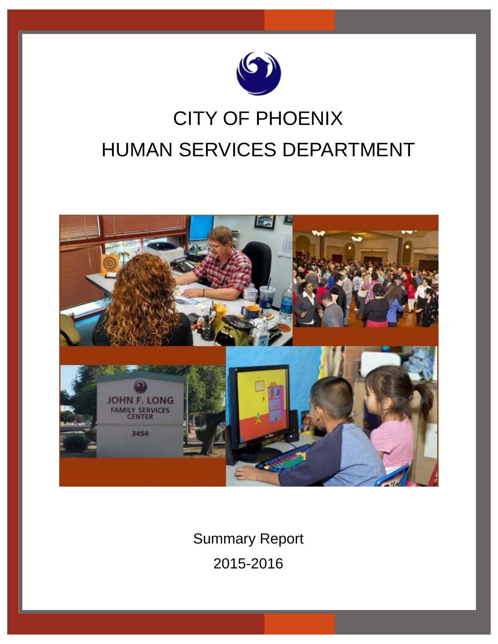

# CITY OF PHOENIX HUMAN SERVICES DEPARTMENT



Summary Report 2015-2016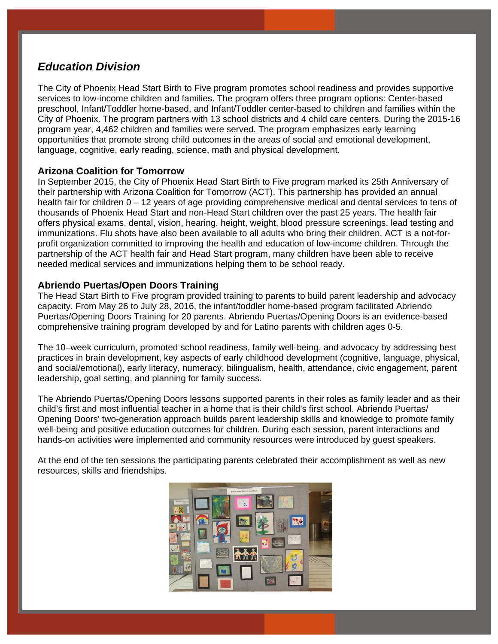## *Education Division*

The City of Phoenix Head Start Birth to Five program promotes school readiness and provides supportive services to low-income children and families. The program offers three program options: Center-based preschool, Infant/Toddler home-based, and Infant/Toddler center-based to children and families within the City of Phoenix. The program partners with 13 school districts and 4 child care centers. During the 2015-16 program year, 4,462 children and families were served. The program emphasizes early learning opportunities that promote strong child outcomes in the areas of social and emotional development, language, cognitive, early reading, science, math and physical development.

## **Arizona Coalition for Tomorrow**

In September 2015, the City of Phoenix Head Start Birth to Five program marked its 25th Anniversary of their partnership with Arizona Coalition for Tomorrow (ACT). This partnership has provided an annual health fair for children 0 – 12 years of age providing comprehensive medical and dental services to tens of thousands of Phoenix Head Start and non-Head Start children over the past 25 years. The health fair offers physical exams, dental, vision, hearing, height, weight, blood pressure screenings, lead testing and immunizations. Flu shots have also been available to all adults who bring their children. ACT is a not-forprofit organization committed to improving the health and education of low-income children. Through the partnership of the ACT health fair and Head Start program, many children have been able to receive needed medical services and immunizations helping them to be school ready.

## **Abriendo Puertas/Open Doors Training**

The Head Start Birth to Five program provided training to parents to build parent leadership and advocacy capacity. From May 26 to July 28, 2016, the infant/toddler home-based program facilitated Abriendo Puertas/Opening Doors Training for 20 parents. Abriendo Puertas/Opening Doors is an evidence-based comprehensive training program developed by and for Latino parents with children ages 0-5.

The 10–week curriculum, promoted school readiness, family well-being, and advocacy by addressing best practices in brain development, key aspects of early childhood development (cognitive, language, physical, and social/emotional), early literacy, numeracy, bilingualism, health, attendance, civic engagement, parent leadership, goal setting, and planning for family success.

The Abriendo Puertas/Opening Doors lessons supported parents in their roles as family leader and as their child's first and most influential teacher in a home that is their child's first school. Abriendo Puertas/ Opening Doors' two-generation approach builds parent leadership skills and knowledge to promote family well-being and positive education outcomes for children. During each session, parent interactions and hands-on activities were implemented and community resources were introduced by guest speakers.

At the end of the ten sessions the participating parents celebrated their accomplishment as well as new resources, skills and friendships.

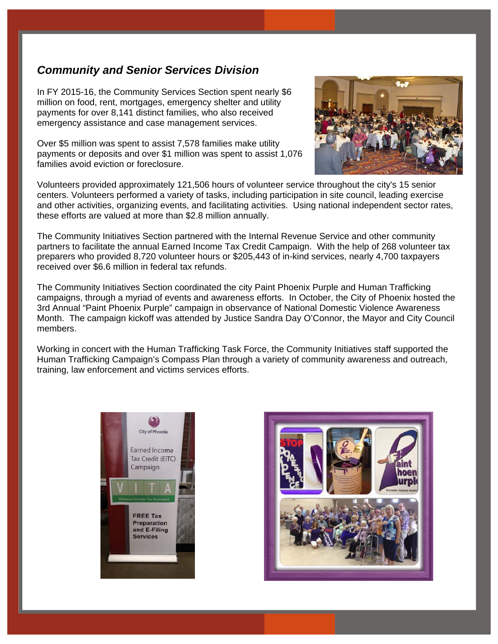## *Community and Senior Services Division*

In FY 2015-16, the Community Services Section spent nearly \$6 million on food, rent, mortgages, emergency shelter and utility payments for over 8,141 distinct families, who also received emergency assistance and case management services.

Over \$5 million was spent to assist 7,578 families make utility payments or deposits and over \$1 million was spent to assist 1,076 families avoid eviction or foreclosure.



Volunteers provided approximately 121,506 hours of volunteer service throughout the city's 15 senior centers. Volunteers performed a variety of tasks, including participation in site council, leading exercise and other activities, organizing events, and facilitating activities. Using national independent sector rates, these efforts are valued at more than \$2.8 million annually.

The Community Initiatives Section partnered with the Internal Revenue Service and other community partners to facilitate the annual Earned Income Tax Credit Campaign. With the help of 268 volunteer tax preparers who provided 8,720 volunteer hours or \$205,443 of in-kind services, nearly 4,700 taxpayers received over \$6.6 million in federal tax refunds.

The Community Initiatives Section coordinated the city Paint Phoenix Purple and Human Trafficking campaigns, through a myriad of events and awareness efforts. In October, the City of Phoenix hosted the 3rd Annual "Paint Phoenix Purple" campaign in observance of National Domestic Violence Awareness Month. The campaign kickoff was attended by Justice Sandra Day O'Connor, the Mayor and City Council members.

Working in concert with the Human Trafficking Task Force, the Community Initiatives staff supported the Human Trafficking Campaign's Compass Plan through a variety of community awareness and outreach, training, law enforcement and victims services efforts.



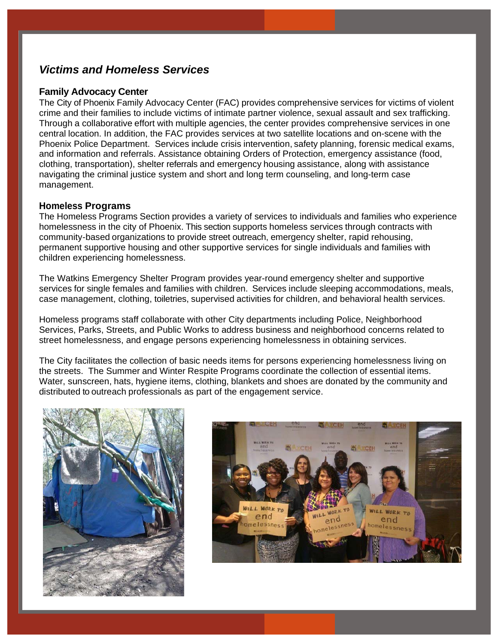## *Victims and Homeless Services*

## **Family Advocacy Center**

The City of Phoenix Family Advocacy Center (FAC) provides comprehensive services for victims of violent crime and their families to include victims of intimate partner violence, sexual assault and sex trafficking. Through a collaborative effort with multiple agencies, the center provides comprehensive services in one central location. In addition, the FAC provides services at two satellite locations and on-scene with the Phoenix Police Department. Services include crisis intervention, safety planning, forensic medical exams, and information and referrals. Assistance obtaining Orders of Protection, emergency assistance (food, clothing, transportation), shelter referrals and emergency housing assistance, along with assistance navigating the criminal justice system and short and long term counseling, and long-term case management.

## **Homeless Programs**

The Homeless Programs Section provides a variety of services to individuals and families who experience homelessness in the city of Phoenix. This section supports homeless services through contracts with community-based organizations to provide street outreach, emergency shelter, rapid rehousing, permanent supportive housing and other supportive services for single individuals and families with children experiencing homelessness.

The Watkins Emergency Shelter Program provides year-round emergency shelter and supportive services for single females and families with children. Services include sleeping accommodations, meals, case management, clothing, toiletries, supervised activities for children, and behavioral health services.

Homeless programs staff collaborate with other City departments including Police, Neighborhood Services, Parks, Streets, and Public Works to address business and neighborhood concerns related to street homelessness, and engage persons experiencing homelessness in obtaining services.

The City facilitates the collection of basic needs items for persons experiencing homelessness living on the streets. The Summer and Winter Respite Programs coordinate the collection of essential items. Water, sunscreen, hats, hygiene items, clothing, blankets and shoes are donated by the community and distributed to outreach professionals as part of the engagement service.



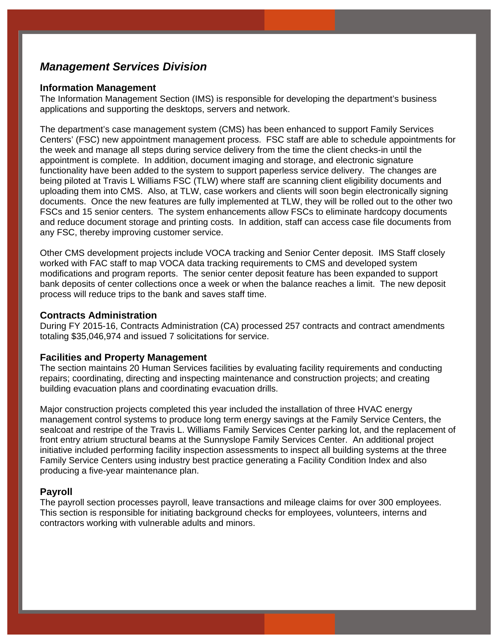## *Management Services Division*

#### **Information Management**

The Information Management Section (IMS) is responsible for developing the department's business applications and supporting the desktops, servers and network.

The department's case management system (CMS) has been enhanced to support Family Services Centers' (FSC) new appointment management process. FSC staff are able to schedule appointments for the week and manage all steps during service delivery from the time the client checks-in until the appointment is complete. In addition, document imaging and storage, and electronic signature functionality have been added to the system to support paperless service delivery. The changes are being piloted at Travis L Williams FSC (TLW) where staff are scanning client eligibility documents and uploading them into CMS. Also, at TLW, case workers and clients will soon begin electronically signing documents. Once the new features are fully implemented at TLW, they will be rolled out to the other two FSCs and 15 senior centers. The system enhancements allow FSCs to eliminate hardcopy documents and reduce document storage and printing costs. In addition, staff can access case file documents from any FSC, thereby improving customer service.

Other CMS development projects include VOCA tracking and Senior Center deposit. IMS Staff closely worked with FAC staff to map VOCA data tracking requirements to CMS and developed system modifications and program reports. The senior center deposit feature has been expanded to support bank deposits of center collections once a week or when the balance reaches a limit. The new deposit process will reduce trips to the bank and saves staff time.

## **Contracts Administration**

During FY 2015-16, Contracts Administration (CA) processed 257 contracts and contract amendments totaling \$35,046,974 and issued 7 solicitations for service.

#### **Facilities and Property Management**

The section maintains 20 Human Services facilities by evaluating facility requirements and conducting repairs; coordinating, directing and inspecting maintenance and construction projects; and creating building evacuation plans and coordinating evacuation drills.

Major construction projects completed this year included the installation of three HVAC energy management control systems to produce long term energy savings at the Family Service Centers, the sealcoat and restripe of the Travis L. Williams Family Services Center parking lot, and the replacement of front entry atrium structural beams at the Sunnyslope Family Services Center. An additional project initiative included performing facility inspection assessments to inspect all building systems at the three Family Service Centers using industry best practice generating a Facility Condition Index and also producing a five-year maintenance plan.

### **Payroll**

The payroll section processes payroll, leave transactions and mileage claims for over 300 employees. This section is responsible for initiating background checks for employees, volunteers, interns and contractors working with vulnerable adults and minors.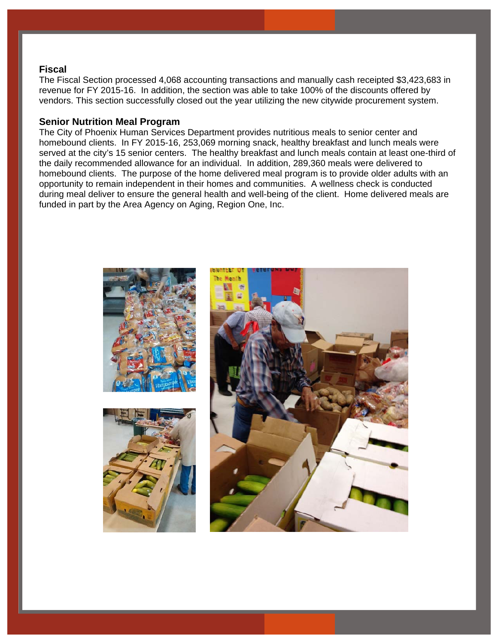#### **Fiscal**

The Fiscal Section processed 4,068 accounting transactions and manually cash receipted \$3,423,683 in revenue for FY 2015-16. In addition, the section was able to take 100% of the discounts offered by vendors. This section successfully closed out the year utilizing the new citywide procurement system.

### **Senior Nutrition Meal Program**

The City of Phoenix Human Services Department provides nutritious meals to senior center and homebound clients. In FY 2015-16, 253,069 morning snack, healthy breakfast and lunch meals were served at the city's 15 senior centers. The healthy breakfast and lunch meals contain at least one-third of the daily recommended allowance for an individual. In addition, 289,360 meals were delivered to homebound clients. The purpose of the home delivered meal program is to provide older adults with an opportunity to remain independent in their homes and communities. A wellness check is conducted during meal deliver to ensure the general health and well-being of the client. Home delivered meals are funded in part by the Area Agency on Aging, Region One, Inc.

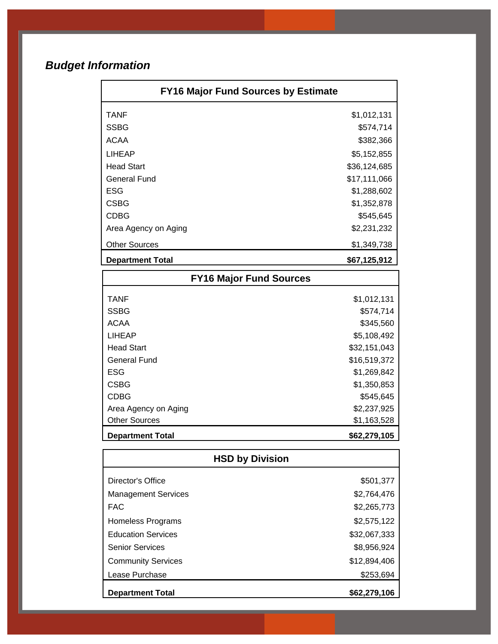## *Budget Information*

| <b>FY16 Major Fund Sources by Estimate</b> |              |
|--------------------------------------------|--------------|
| <b>TANF</b>                                | \$1,012,131  |
| <b>SSBG</b>                                | \$574,714    |
| <b>ACAA</b>                                | \$382,366    |
| <b>LIHEAP</b>                              | \$5,152,855  |
| <b>Head Start</b>                          | \$36,124,685 |
| <b>General Fund</b>                        | \$17,111,066 |
| <b>ESG</b>                                 | \$1,288,602  |
| <b>CSBG</b>                                | \$1,352,878  |
| <b>CDBG</b>                                | \$545,645    |
| Area Agency on Aging                       | \$2,231,232  |
| <b>Other Sources</b>                       | \$1,349,738  |
| <b>Department Total</b>                    | \$67,125,912 |
| <b>FY16 Major Fund Sources</b>             |              |
| <b>TANF</b>                                | \$1,012,131  |
| <b>SSBG</b>                                | \$574,714    |
| <b>ACAA</b>                                | \$345,560    |
| <b>LIHEAP</b>                              | \$5,108,492  |
| <b>Head Start</b>                          | \$32,151,043 |
| <b>General Fund</b>                        | \$16,519,372 |
| <b>ESG</b>                                 | \$1,269,842  |
| <b>CSBG</b>                                | \$1,350,853  |
| <b>CDBG</b>                                | \$545,645    |
| Area Agency on Aging                       | \$2,237,925  |
| <b>Other Sources</b>                       | \$1,163,528  |
| <b>Department Total</b>                    | \$62,279,105 |
| <b>HSD by Division</b>                     |              |
| Director's Office                          | \$501,377    |
| <b>Management Services</b>                 | \$2,764,476  |
| <b>FAC</b>                                 | \$2,265,773  |
| Homeless Programs                          | \$2,575,122  |
| <b>Education Services</b>                  | \$32,067,333 |
| <b>Senior Services</b>                     | \$8,956,924  |
| <b>Community Services</b>                  | \$12,894,406 |
| Lease Purchase                             | \$253,694    |
| <b>Department Total</b>                    | \$62,279,106 |